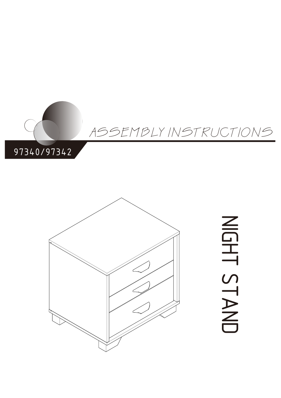



# Z<br>G エ<br>い<br>い  $\overline{\phantom{0}}$  $\blacktriangleright$  $\overline{\mathbb{Z}}$  $\Box$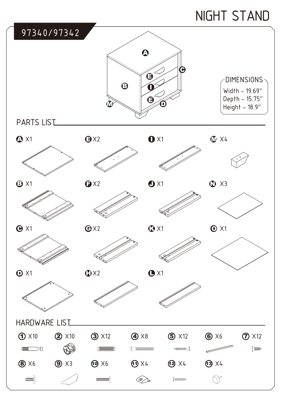## NIGHT STAND

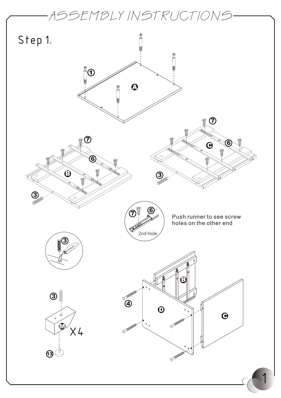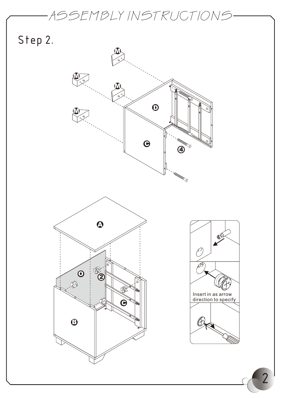Step 2.





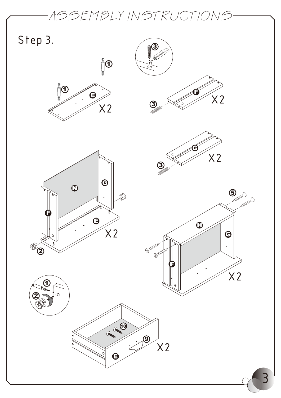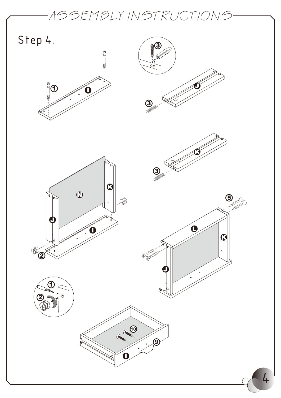